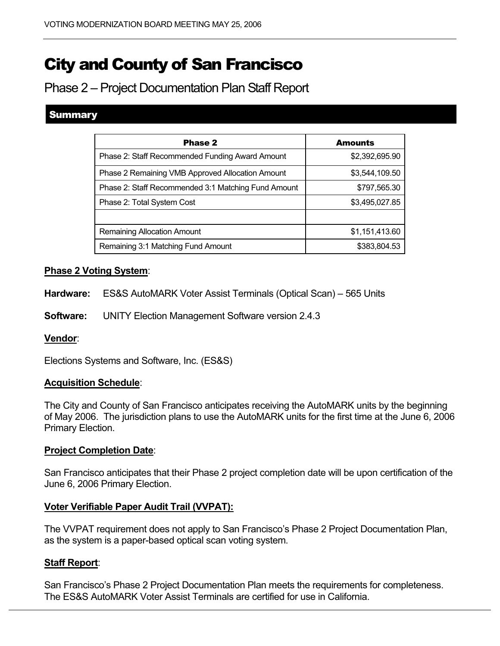# City and County of San Francisco

Phase 2 – Project Documentation Plan Staff Report

## Summary

| <b>Phase 2</b>                                      | <b>Amounts</b> |
|-----------------------------------------------------|----------------|
| Phase 2: Staff Recommended Funding Award Amount     | \$2,392,695.90 |
| Phase 2 Remaining VMB Approved Allocation Amount    | \$3,544,109.50 |
| Phase 2: Staff Recommended 3:1 Matching Fund Amount | \$797,565.30   |
| Phase 2: Total System Cost                          | \$3,495,027.85 |
|                                                     |                |
| <b>Remaining Allocation Amount</b>                  | \$1,151,413.60 |
| Remaining 3:1 Matching Fund Amount                  | \$383,804.53   |

## **Phase 2 Voting System**:

**Hardware:** ES&S AutoMARK Voter Assist Terminals (Optical Scan) – 565 Units

**Software:** UNITY Election Management Software version 2.4.3

## **Vendor**:

Elections Systems and Software, Inc. (ES&S)

## **Acquisition Schedule**:

The City and County of San Francisco anticipates receiving the AutoMARK units by the beginning of May 2006. The jurisdiction plans to use the AutoMARK units for the first time at the June 6, 2006 Primary Election.

## **Project Completion Date**:

San Francisco anticipates that their Phase 2 project completion date will be upon certification of the June 6, 2006 Primary Election.

## **Voter Verifiable Paper Audit Trail (VVPAT):**

The VVPAT requirement does not apply to San Francisco's Phase 2 Project Documentation Plan, as the system is a paper-based optical scan voting system.

## **Staff Report**:

San Francisco's Phase 2 Project Documentation Plan meets the requirements for completeness. The ES&S AutoMARK Voter Assist Terminals are certified for use in California.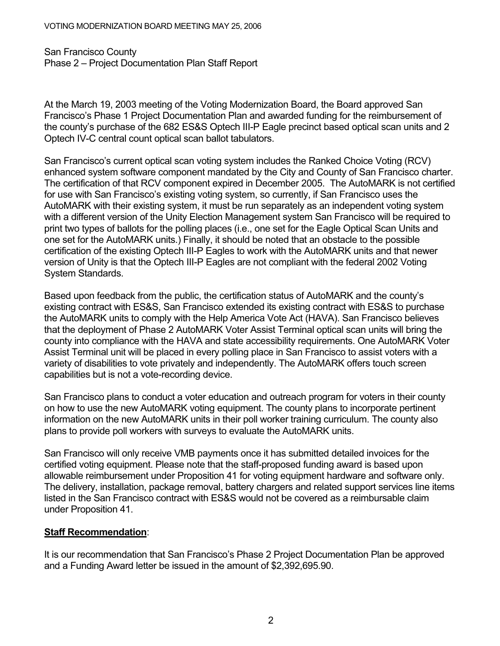#### VOTING MODERNIZATION BOARD MEETING MAY 25, 2006

San Francisco County Phase 2 – Project Documentation Plan Staff Report

At the March 19, 2003 meeting of the Voting Modernization Board, the Board approved San Francisco's Phase 1 Project Documentation Plan and awarded funding for the reimbursement of the county's purchase of the 682 ES&S Optech III-P Eagle precinct based optical scan units and 2 Optech IV-C central count optical scan ballot tabulators.

San Francisco's current optical scan voting system includes the Ranked Choice Voting (RCV) enhanced system software component mandated by the City and County of San Francisco charter. The certification of that RCV component expired in December 2005. The AutoMARK is not certified for use with San Francisco's existing voting system, so currently, if San Francisco uses the AutoMARK with their existing system, it must be run separately as an independent voting system with a different version of the Unity Election Management system San Francisco will be required to print two types of ballots for the polling places (i.e., one set for the Eagle Optical Scan Units and one set for the AutoMARK units.) Finally, it should be noted that an obstacle to the possible certification of the existing Optech III-P Eagles to work with the AutoMARK units and that newer version of Unity is that the Optech III-P Eagles are not compliant with the federal 2002 Voting System Standards.

Based upon feedback from the public, the certification status of AutoMARK and the county's existing contract with ES&S, San Francisco extended its existing contract with ES&S to purchase the AutoMARK units to comply with the Help America Vote Act (HAVA). San Francisco believes that the deployment of Phase 2 AutoMARK Voter Assist Terminal optical scan units will bring the county into compliance with the HAVA and state accessibility requirements. One AutoMARK Voter Assist Terminal unit will be placed in every polling place in San Francisco to assist voters with a variety of disabilities to vote privately and independently. The AutoMARK offers touch screen capabilities but is not a vote-recording device.

San Francisco plans to conduct a voter education and outreach program for voters in their county on how to use the new AutoMARK voting equipment. The county plans to incorporate pertinent information on the new AutoMARK units in their poll worker training curriculum. The county also plans to provide poll workers with surveys to evaluate the AutoMARK units.

San Francisco will only receive VMB payments once it has submitted detailed invoices for the certified voting equipment. Please note that the staff-proposed funding award is based upon allowable reimbursement under Proposition 41 for voting equipment hardware and software only. The delivery, installation, package removal, battery chargers and related support services line items listed in the San Francisco contract with ES&S would not be covered as a reimbursable claim under Proposition 41.

## **Staff Recommendation**:

It is our recommendation that San Francisco's Phase 2 Project Documentation Plan be approved and a Funding Award letter be issued in the amount of \$2,392,695.90.